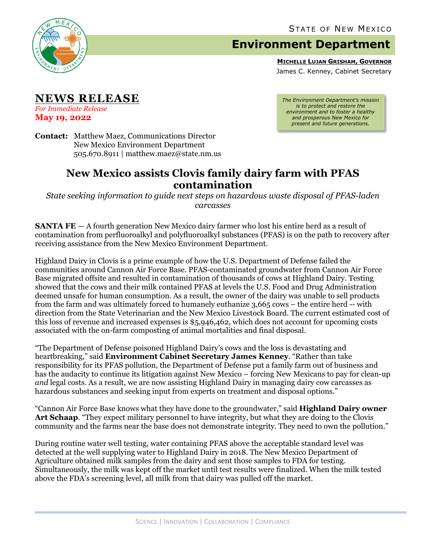

## **Environment Department**

**MICHELLE LUJAN GRISHAM, GOVERNOR**

James C. Kenney, Cabinet Secretary

**NEWS RELEASE**

*For Immediate Release* **May 19, 2022**

**Contact:** Matthew Maez, Communications Director New Mexico Environment Department 505.670.8911 | matthew.maez@state.nm.us

## **New Mexico assists Clovis family dairy farm with PFAS contamination**

*State seeking information to guide next steps on hazardous waste disposal of PFAS-laden carcasses*

**SANTA FE** – A fourth generation New Mexico dairy farmer who lost his entire herd as a result of contamination from perfluoroalkyl and polyfluoroalkyl substances (PFAS) is on the path to recovery after receiving assistance from the New Mexico Environment Department.

Highland Dairy in Clovis is a prime example of how the U.S. Department of Defense failed the communities around Cannon Air Force Base. PFAS-contaminated groundwater from Cannon Air Force Base migrated offsite and resulted in contamination of thousands of cows at Highland Dairy. Testing showed that the cows and their milk contained PFAS at levels the U.S. Food and Drug Administration deemed unsafe for human consumption. As a result, the owner of the dairy was unable to sell products from the farm and was ultimately forced to humanely euthanize 3,665 cows – the entire herd -- with direction from the State Veterinarian and the New Mexico Livestock Board. The current estimated cost of this loss of revenue and increased expenses is \$5,946,462, which does not account for upcoming costs associated with the on-farm composting of animal mortalities and final disposal.

"The Department of Defense poisoned Highland Dairy's cows and the loss is devastating and heartbreaking," said **Environment Cabinet Secretary James Kenney**. "Rather than take responsibility for its PFAS pollution, the Department of Defense put a family farm out of business and has the audacity to continue its litigation against New Mexico – forcing New Mexicans to pay for clean-up *and* legal costs. As a result, we are now assisting Highland Dairy in managing dairy cow carcasses as hazardous substances and seeking input from experts on treatment and disposal options."

"Cannon Air Force Base knows what they have done to the groundwater," said **Highland Dairy owner Art Schaap**. "They expect military personnel to have integrity, but what they are doing to the Clovis community and the farms near the base does not demonstrate integrity. They need to own the pollution."

During routine water well testing, water containing PFAS above the acceptable standard level was detected at the well supplying water to Highland Dairy in 2018. The New Mexico Department of Agriculture obtained milk samples from the dairy and sent those samples to FDA for testing. Simultaneously, the milk was kept off the market until test results were finalized. When the milk tested above the FDA's screening level, all milk from that dairy was pulled off the market.

*The Environment Department's mission is to protect and restore the environment and to foster a healthy and prosperous New Mexico for present and future generations.*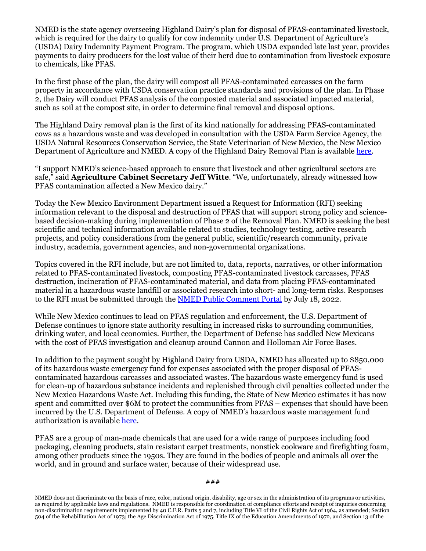NMED is the state agency overseeing Highland Dairy's plan for disposal of PFAS-contaminated livestock, which is required for the dairy to qualify for cow indemnity under U.S. Department of Agriculture's (USDA) Dairy Indemnity Payment Program. The program, which USDA expanded late last year, provides payments to dairy producers for the lost value of their herd due to contamination from livestock exposure to chemicals, like PFAS.

In the first phase of the plan, the dairy will compost all PFAS-contaminated carcasses on the farm property in accordance with USDA conservation practice standards and provisions of the plan. In Phase 2, the Dairy will conduct PFAS analysis of the composted material and associated impacted material, such as soil at the compost site, in order to determine final removal and disposal options.

The Highland Dairy removal plan is the first of its kind nationally for addressing PFAS-contaminated cows as a hazardous waste and was developed in consultation with the USDA Farm Service Agency, the USDA Natural Resources Conservation Service, the State Veterinarian of New Mexico, the New Mexico Department of Agriculture and NMED. A copy of the Highland Dairy Removal Plan is available [here.](https://www.env.nm.gov/pfas/wp-content/uploads/sites/25/2022/05/2022-05-12-Highland-Dairy-Depop-Removal-Plan-and-App-Narrative-Final.pdf)

"I support NMED's science-based approach to ensure that livestock and other agricultural sectors are safe," said **Agriculture Cabinet Secretary Jeff Witte**. "We, unfortunately, already witnessed how PFAS contamination affected a New Mexico dairy."

Today the New Mexico Environment Department issued a Request for Information (RFI) seeking information relevant to the disposal and destruction of PFAS that will support strong policy and sciencebased decision-making during implementation of Phase 2 of the Removal Plan. NMED is seeking the best scientific and technical information available related to studies, technology testing, active research projects, and policy considerations from the general public, scientific/research community, private industry, academia, government agencies, and non-governmental organizations.

Topics covered in the RFI include, but are not limited to, data, reports, narratives, or other information related to PFAS-contaminated livestock, composting PFAS-contaminated livestock carcasses, PFAS destruction, incineration of PFAS-contaminated material, and data from placing PFAS-contaminated material in a hazardous waste landfill or associated research into short- and long-term risks. Responses to the RFI must be submitted through the [NMED Public Comment Portal](https://nmed.commentinput.com/?id=sPdT5) by July 18, 2022.

While New Mexico continues to lead on PFAS regulation and enforcement, the U.S. Department of Defense continues to ignore state authority resulting in increased risks to surrounding communities, drinking water, and local economies. Further, the Department of Defense has saddled New Mexicans with the cost of PFAS investigation and cleanup around Cannon and Holloman Air Force Bases.

In addition to the payment sought by Highland Dairy from USDA, NMED has allocated up to \$850,000 of its hazardous waste emergency fund for expenses associated with the proper disposal of PFAScontaminated hazardous carcasses and associated wastes. The hazardous waste emergency fund is used for clean-up of hazardous substance incidents and replenished through civil penalties collected under the New Mexico Hazardous Waste Act. Including this funding, the State of New Mexico estimates it has now spent and committed over \$6M to protect the communities from PFAS – expenses that should have been incurred by the U.S. Department of Defense. A copy of NMED's hazardous waste management fund authorization is available [here.](https://www.env.nm.gov/pfas/wp-content/uploads/sites/25/2022/05/2022-04-05-RPD-HWB-HW-ER-Fund-Memo-Highlands-Dairy.pdf)

PFAS are a group of man-made chemicals that are used for a wide range of purposes including food packaging, cleaning products, stain resistant carpet treatments, nonstick cookware and firefighting foam, among other products since the 1950s. They are found in the bodies of people and animals all over the world, and in ground and surface water, because of their widespread use.

NMED does not discriminate on the basis of race, color, national origin, disability, age or sex in the administration of its programs or activities, as required by applicable laws and regulations. NMED is responsible for coordination of compliance efforts and receipt of inquiries concerning non-discrimination requirements implemented by 40 C.F.R. Parts 5 and 7, including Title VI of the Civil Rights Act of 1964, as amended; Section 504 of the Rehabilitation Act of 1973; the Age Discrimination Act of 1975, Title IX of the Education Amendments of 1972, and Section 13 of the